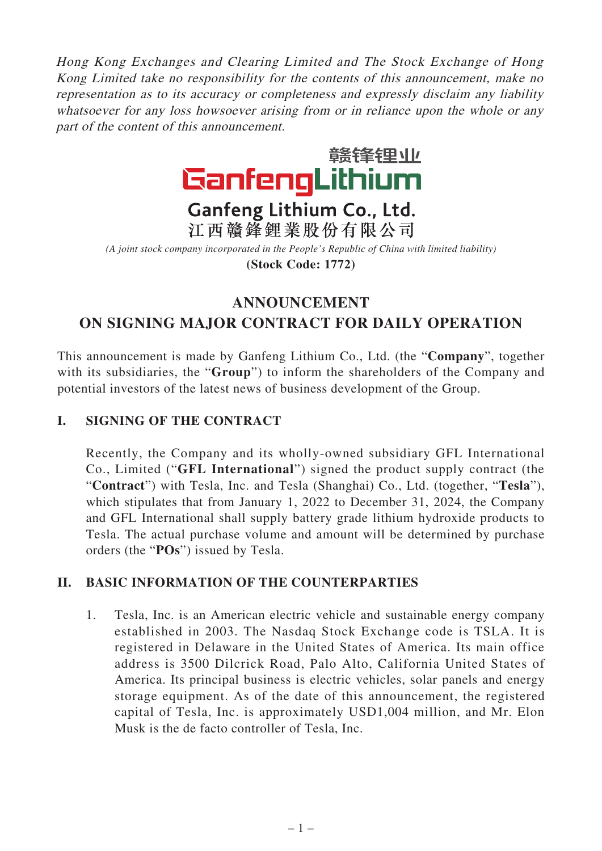Hong Kong Exchanges and Clearing Limited and The Stock Exchange of Hong Kong Limited take no responsibility for the contents of this announcement, make no representation as to its accuracy or completeness and expressly disclaim any liability whatsoever for any loss howsoever arising from or in reliance upon the whole or any part of the content of this announcement.



# Ganfeng Lithium Co., Ltd. 江西贛鋒鋰業股份有限公司

*(A joint stock company incorporated in the People's Republic of China with limited liability)* **(Stock Code: 1772)**

## **ANNOUNCEMENT ON SIGNING MAJOR CONTRACT FOR DAILY OPERATION**

This announcement is made by Ganfeng Lithium Co., Ltd. (the "**Company**", together with its subsidiaries, the "**Group**") to inform the shareholders of the Company and potential investors of the latest news of business development of the Group.

### **I. SIGNING OF THE CONTRACT**

Recently, the Company and its wholly-owned subsidiary GFL International Co., Limited ("**GFL International**") signed the product supply contract (the "**Contract**") with Tesla, Inc. and Tesla (Shanghai) Co., Ltd. (together, "**Tesla**"), which stipulates that from January 1, 2022 to December 31, 2024, the Company and GFL International shall supply battery grade lithium hydroxide products to Tesla. The actual purchase volume and amount will be determined by purchase orders (the "**POs**") issued by Tesla.

#### **II. BASIC INFORMATION OF THE COUNTERPARTIES**

1. Tesla, Inc. is an American electric vehicle and sustainable energy company established in 2003. The Nasdaq Stock Exchange code is TSLA. It is registered in Delaware in the United States of America. Its main office address is 3500 Dilcrick Road, Palo Alto, California United States of America. Its principal business is electric vehicles, solar panels and energy storage equipment. As of the date of this announcement, the registered capital of Tesla, Inc. is approximately USD1,004 million, and Mr. Elon Musk is the de facto controller of Tesla, Inc.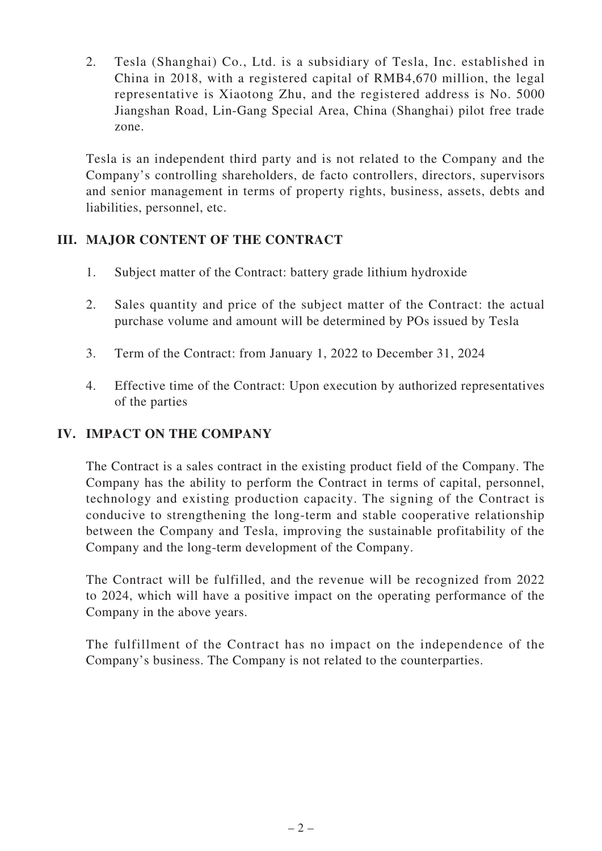2. Tesla (Shanghai) Co., Ltd. is a subsidiary of Tesla, Inc. established in China in 2018, with a registered capital of RMB4,670 million, the legal representative is Xiaotong Zhu, and the registered address is No. 5000 Jiangshan Road, Lin-Gang Special Area, China (Shanghai) pilot free trade zone.

Tesla is an independent third party and is not related to the Company and the Company's controlling shareholders, de facto controllers, directors, supervisors and senior management in terms of property rights, business, assets, debts and liabilities, personnel, etc.

#### **III. MAJOR CONTENT OF THE CONTRACT**

- 1. Subject matter of the Contract: battery grade lithium hydroxide
- 2. Sales quantity and price of the subject matter of the Contract: the actual purchase volume and amount will be determined by POs issued by Tesla
- 3. Term of the Contract: from January 1, 2022 to December 31, 2024
- 4. Effective time of the Contract: Upon execution by authorized representatives of the parties

#### **IV. IMPACT ON THE COMPANY**

The Contract is a sales contract in the existing product field of the Company. The Company has the ability to perform the Contract in terms of capital, personnel, technology and existing production capacity. The signing of the Contract is conducive to strengthening the long-term and stable cooperative relationship between the Company and Tesla, improving the sustainable profitability of the Company and the long-term development of the Company.

The Contract will be fulfilled, and the revenue will be recognized from 2022 to 2024, which will have a positive impact on the operating performance of the Company in the above years.

The fulfillment of the Contract has no impact on the independence of the Company's business. The Company is not related to the counterparties.